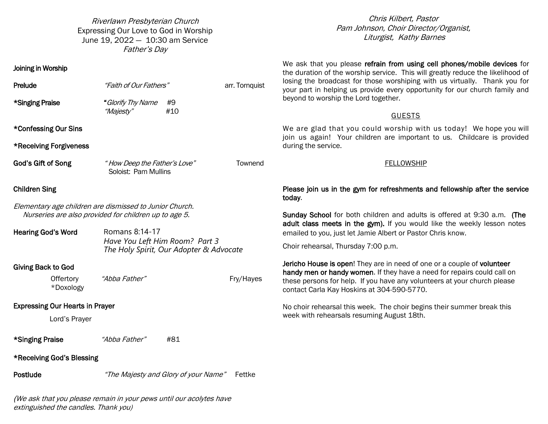Riverlawn Presbyterian Church Expressing Our Love to God in Worship June 19, 2022 — 10:30 am Service Father's Day

**Prelude** The *Haith of Our Fathers*" arr. Tornquist

#### Pam Johnson, Choir Director/Organist, Liturgist, Kathy Barnes  $S_{\rm s}$ Chris Kilbert, Pastor

We ask that you please refrain from using cell phones/mobile devices for the duration of the worship service. This will greatly reduce the likelihood of and the service for the service for the service for the service of the intermediate of losing the broadcast for those worshiping with us virtually. Thank you for live. your part in helping us provide every opportunity for our church family and Guests (1990).<br>Guests (1990). beyond to worship the Lord together.

#### $\overline{a}$  $GUESTS$ GUESTS  $\overline{ }$

We are glad that you could worship with us today! We hope you will provided during the service. join us again! Your children are important to us. Childcare is provided during the service.

## PLEASE SERVICE TODAY FOLLOWS HIP TO A SERVICE IN THE GYMNAST SERVICE IN THE GYMNAST SERVICE IN THE GYMNAST SERVICE IN THE GYMNAST SERVICE IN THE GYMNAST SERVICE IN THE GYMNAST SERVICE IN THE GYMNAST SERVICE IN THE GYMNAST

Please join us in the gym for refreshments and fellowship after the service ~~~~~~~~~~~ today.

Sunday School for both children and adults is offered at 9:30 a.m. (The adult class meets in the gym). If you would like the weekly lesson notes emailed to you, just let Jamie Albert or Pastor Chris know.

Choir rehearsal, Thursday 7:00 p.m.

Jericho House is open! They are in need of one or a couple of volunteer handy men or handy women. If they have a need for repairs could call on these persons for help. If you have any volunteers at your church please contact Carla Kay Hoskins at 304-590-5770.

No choir rehearsal this week. The choir begins their summer break this week with rehearsals resuming August 18th.

| "Majesty"                              | #10 |                                                                                                                                                                                                                                                       |
|----------------------------------------|-----|-------------------------------------------------------------------------------------------------------------------------------------------------------------------------------------------------------------------------------------------------------|
|                                        |     |                                                                                                                                                                                                                                                       |
|                                        |     |                                                                                                                                                                                                                                                       |
|                                        |     | Townend                                                                                                                                                                                                                                               |
|                                        |     |                                                                                                                                                                                                                                                       |
|                                        |     |                                                                                                                                                                                                                                                       |
| Romans 8:14-17                         |     |                                                                                                                                                                                                                                                       |
|                                        |     |                                                                                                                                                                                                                                                       |
| "Abba Father"                          |     | Fry/Hayes                                                                                                                                                                                                                                             |
|                                        |     |                                                                                                                                                                                                                                                       |
| <b>Expressing Our Hearts in Prayer</b> |     |                                                                                                                                                                                                                                                       |
|                                        |     | "How Deep the Father's Love"<br>Soloist: Pam Mullins<br>Elementary age children are dismissed to Junior Church.<br>Nurseries are also provided for children up to age 5.<br>Have You Left Him Room? Part 3<br>The Holy Spirit, Our Adopter & Advocate |

\*Singing Praise "Glorify Thy Name #9

\*Singing Praise "Abba Father" #81

\*Receiving God's Blessing

Joining in Worship

Postlude "The Majesty and Glory of your Name" Fettke

(We ask that you please remain in your pews until our acolytes have extinguished the candles. Thank you)